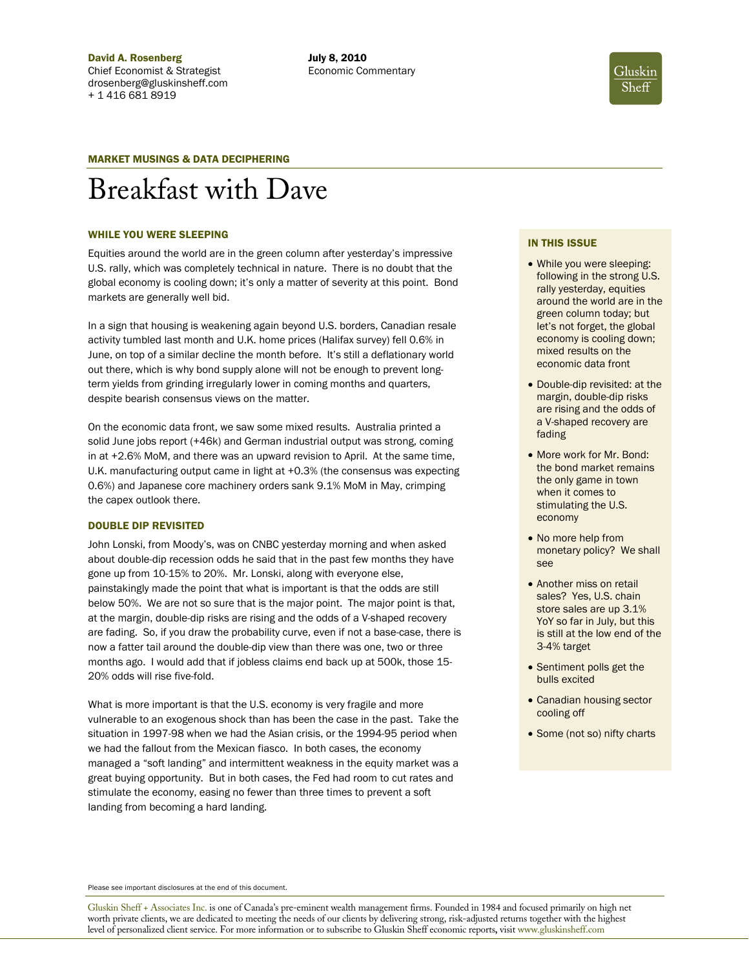

# MARKET MUSINGS & DATA DECIPHERING

# Breakfast with Dave

#### WHILE YOU WERE SLEEPING

Equities around the world are in the green column after yesterday's impressive U.S. rally, which was completely technical in nature. There is no doubt that the global economy is cooling down; it's only a matter of severity at this point. Bond markets are generally well bid.

In a sign that housing is weakening again beyond U.S. borders, Canadian resale activity tumbled last month and U.K. home prices (Halifax survey) fell 0.6% in June, on top of a similar decline the month before. It's still a deflationary world out there, which is why bond supply alone will not be enough to prevent longterm yields from grinding irregularly lower in coming months and quarters, despite bearish consensus views on the matter.

On the economic data front, we saw some mixed results. Australia printed a solid June jobs report (+46k) and German industrial output was strong, coming in at +2.6% MoM, and there was an upward revision to April. At the same time, U.K. manufacturing output came in light at +0.3% (the consensus was expecting 0.6%) and Japanese core machinery orders sank 9.1% MoM in May, crimping the capex outlook there.

# DOUBLE DIP REVISITED

John Lonski, from Moody's, was on CNBC yesterday morning and when asked about double-dip recession odds he said that in the past few months they have gone up from 10-15% to 20%. Mr. Lonski, along with everyone else, painstakingly made the point that what is important is that the odds are still below 50%. We are not so sure that is the major point. The major point is that, at the margin, double-dip risks are rising and the odds of a V-shaped recovery are fading. So, if you draw the probability curve, even if not a base-case, there is now a fatter tail around the double-dip view than there was one, two or three months ago. I would add that if jobless claims end back up at 500k, those 15- 20% odds will rise five-fold.

What is more important is that the U.S. economy is very fragile and more vulnerable to an exogenous shock than has been the case in the past. Take the situation in 1997-98 when we had the Asian crisis, or the 1994-95 period when we had the fallout from the Mexican fiasco. In both cases, the economy managed a "soft landing" and intermittent weakness in the equity market was a great buying opportunity. But in both cases, the Fed had room to cut rates and stimulate the economy, easing no fewer than three times to prevent a soft landing from becoming a hard landing.

#### IN THIS ISSUE

- While you were sleeping: following in the strong U.S. rally yesterday, equities around the world are in the green column today; but let's not forget, the global economy is cooling down; mixed results on the economic data front
- Double-dip revisited: at the margin, double-dip risks are rising and the odds of a V-shaped recovery are fading
- More work for Mr. Bond: the bond market remains the only game in town when it comes to stimulating the U.S. economy
- No more help from monetary policy? We shall see
- Another miss on retail sales? Yes, U.S. chain store sales are up 3.1% YoY so far in July, but this is still at the low end of the 3-4% target
- Sentiment polls get the bulls excited
- Canadian housing sector cooling off
- Some (not so) nifty charts

Please see important disclosures at the end of this document.

Gluskin Sheff + Associates Inc. is one of Canada's pre-eminent wealth management firms. Founded in 1984 and focused primarily on high net worth private clients, we are dedicated to meeting the needs of our clients by delivering strong, risk-adjusted returns together with the highest level of personalized client service. For more information or to subscribe to Gluskin Sheff economic reports**,** visit www.gluskinsheff.com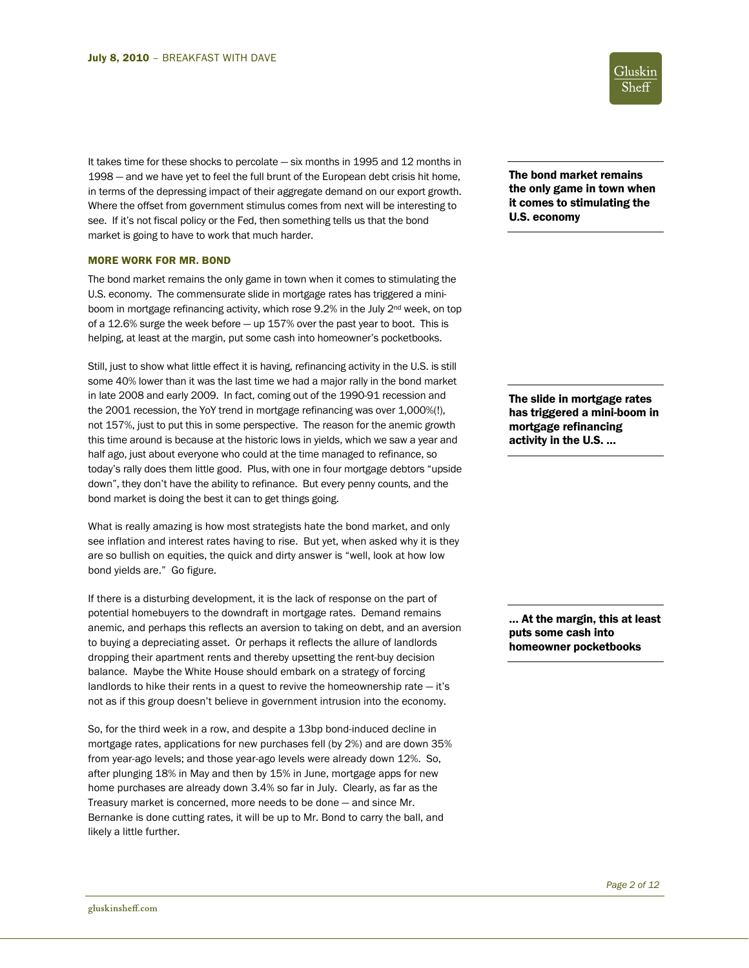It takes time for these shocks to percolate — six months in 1995 and 12 months in 1998 — and we have yet to feel the full brunt of the European debt crisis hit home, in terms of the depressing impact of their aggregate demand on our export growth. Where the offset from government stimulus comes from next will be interesting to see. If it's not fiscal policy or the Fed, then something tells us that the bond market is going to have to work that much harder.

# MORE WORK FOR MR. BOND

The bond market remains the only game in town when it comes to stimulating the U.S. economy. The commensurate slide in mortgage rates has triggered a miniboom in mortgage refinancing activity, which rose 9.2% in the July 2<sup>nd</sup> week, on top of a 12.6% surge the week before — up 157% over the past year to boot. This is helping, at least at the margin, put some cash into homeowner's pocketbooks.

Still, just to show what little effect it is having, refinancing activity in the U.S. is still some 40% lower than it was the last time we had a major rally in the bond market in late 2008 and early 2009. In fact, coming out of the 1990-91 recession and the 2001 recession, the YoY trend in mortgage refinancing was over 1,000%(!), not 157%, just to put this in some perspective. The reason for the anemic growth this time around is because at the historic lows in yields, which we saw a year and half ago, just about everyone who could at the time managed to refinance, so today's rally does them little good. Plus, with one in four mortgage debtors "upside down", they don't have the ability to refinance. But every penny counts, and the bond market is doing the best it can to get things going.

What is really amazing is how most strategists hate the bond market, and only see inflation and interest rates having to rise. But yet, when asked why it is they are so bullish on equities, the quick and dirty answer is "well, look at how low bond yields are." Go figure.

If there is a disturbing development, it is the lack of response on the part of potential homebuyers to the downdraft in mortgage rates. Demand remains anemic, and perhaps this reflects an aversion to taking on debt, and an aversion to buying a depreciating asset. Or perhaps it reflects the allure of landlords dropping their apartment rents and thereby upsetting the rent-buy decision balance. Maybe the White House should embark on a strategy of forcing landlords to hike their rents in a quest to revive the homeownership rate — it's not as if this group doesn't believe in government intrusion into the economy.

So, for the third week in a row, and despite a 13bp bond-induced decline in mortgage rates, applications for new purchases fell (by 2%) and are down 35% from year-ago levels; and those year-ago levels were already down 12%. So, after plunging 18% in May and then by 15% in June, mortgage apps for new home purchases are already down 3.4% so far in July. Clearly, as far as the Treasury market is concerned, more needs to be done — and since Mr. Bernanke is done cutting rates, it will be up to Mr. Bond to carry the ball, and likely a little further.



The bond market remains the only game in town when it comes to stimulating the U.S. economy

The slide in mortgage rates has triggered a mini-boom in mortgage refinancing activity in the U.S. …

… At the margin, this at least puts some cash into homeowner pocketbooks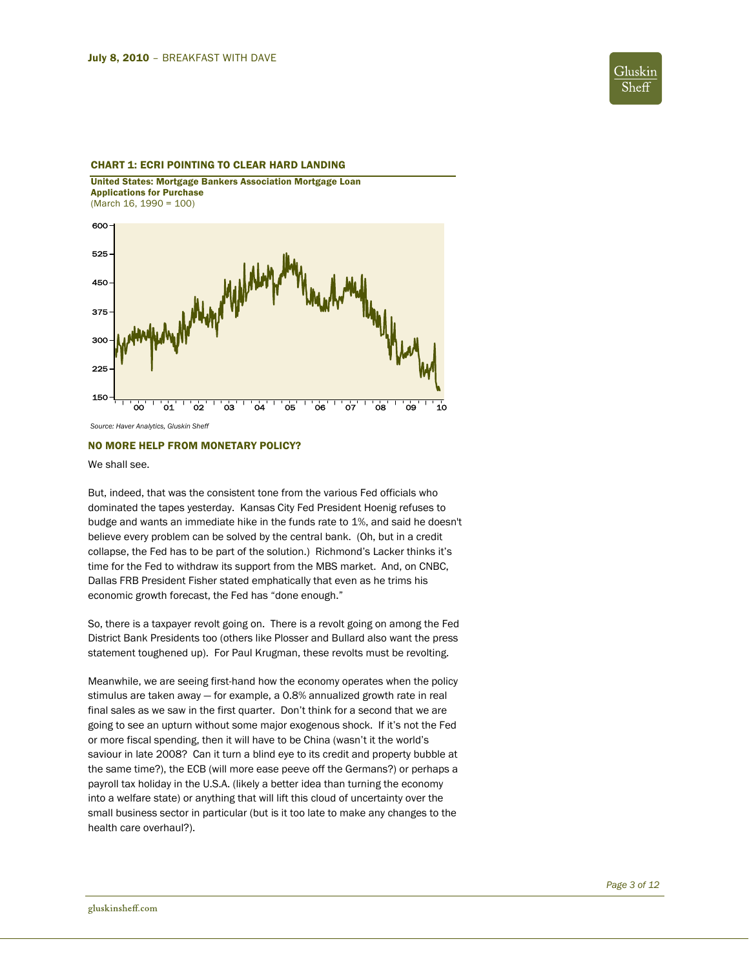

# CHART 1: ECRI POINTING TO CLEAR HARD LANDING

United States: Mortgage Bankers Association Mortgage Loan Applications for Purchase (March 16, 1990 = 100)



*Source: Haver Analytics, Gluskin Sheff* 

# NO MORE HELP FROM MONETARY POLICY?

We shall see.

But, indeed, that was the consistent tone from the various Fed officials who dominated the tapes yesterday. Kansas City Fed President Hoenig refuses to budge and wants an immediate hike in the funds rate to 1%, and said he doesn't believe every problem can be solved by the central bank. (Oh, but in a credit collapse, the Fed has to be part of the solution.) Richmond's Lacker thinks it's time for the Fed to withdraw its support from the MBS market. And, on CNBC, Dallas FRB President Fisher stated emphatically that even as he trims his economic growth forecast, the Fed has "done enough."

So, there is a taxpayer revolt going on. There is a revolt going on among the Fed District Bank Presidents too (others like Plosser and Bullard also want the press statement toughened up). For Paul Krugman, these revolts must be revolting.

Meanwhile, we are seeing first-hand how the economy operates when the policy stimulus are taken away — for example, a 0.8% annualized growth rate in real final sales as we saw in the first quarter. Don't think for a second that we are going to see an upturn without some major exogenous shock. If it's not the Fed or more fiscal spending, then it will have to be China (wasn't it the world's saviour in late 2008? Can it turn a blind eye to its credit and property bubble at the same time?), the ECB (will more ease peeve off the Germans?) or perhaps a payroll tax holiday in the U.S.A. (likely a better idea than turning the economy into a welfare state) or anything that will lift this cloud of uncertainty over the small business sector in particular (but is it too late to make any changes to the health care overhaul?).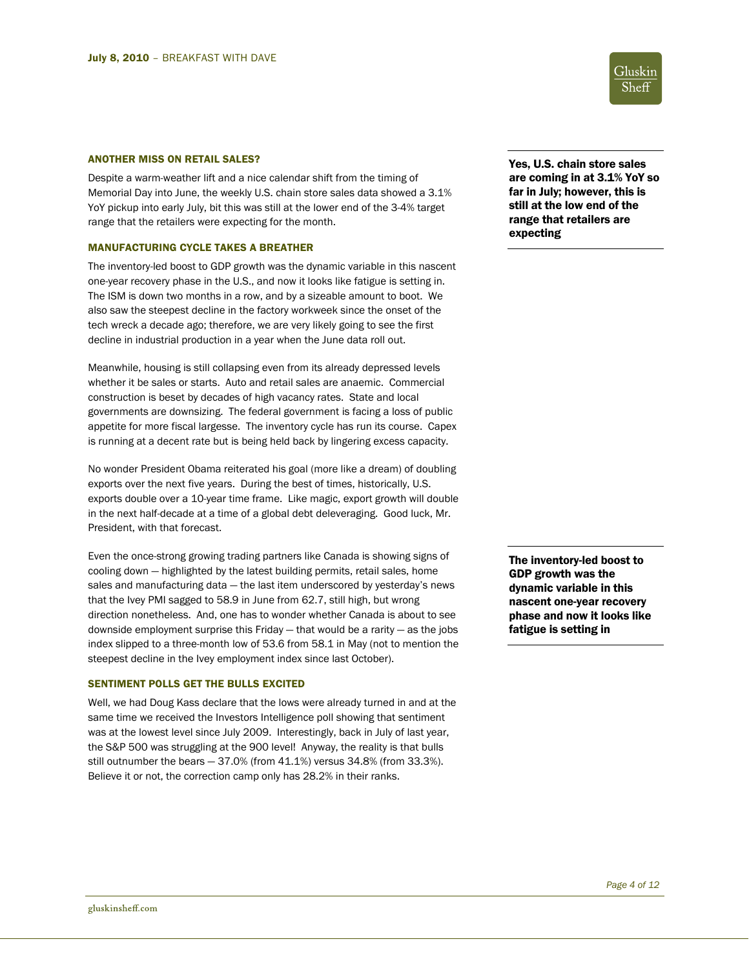# ANOTHER MISS ON RETAIL SALES? THE SERVICE SERVICE SERVICE SERVICE SERVICE SALES PRESSURING SALES

Despite a warm-weather lift and a nice calendar shift from the timing of Memorial Day into June, the weekly U.S. chain store sales data showed a 3.1% YoY pickup into early July, bit this was still at the lower end of the 3-4% target range that the retailers were expecting for the month.

#### MANUFACTURING CYCLE TAKES A BREATHER

The inventory-led boost to GDP growth was the dynamic variable in this nascent one-year recovery phase in the U.S., and now it looks like fatigue is setting in. The ISM is down two months in a row, and by a sizeable amount to boot. We also saw the steepest decline in the factory workweek since the onset of the tech wreck a decade ago; therefore, we are very likely going to see the first decline in industrial production in a year when the June data roll out.

Meanwhile, housing is still collapsing even from its already depressed levels whether it be sales or starts. Auto and retail sales are anaemic. Commercial construction is beset by decades of high vacancy rates. State and local governments are downsizing. The federal government is facing a loss of public appetite for more fiscal largesse. The inventory cycle has run its course. Capex is running at a decent rate but is being held back by lingering excess capacity.

No wonder President Obama reiterated his goal (more like a dream) of doubling exports over the next five years. During the best of times, historically, U.S. exports double over a 10-year time frame. Like magic, export growth will double in the next half-decade at a time of a global debt deleveraging. Good luck, Mr. President, with that forecast.

Even the once-strong growing trading partners like Canada is showing signs of cooling down — highlighted by the latest building permits, retail sales, home sales and manufacturing data — the last item underscored by yesterday's news that the Ivey PMI sagged to 58.9 in June from 62.7, still high, but wrong direction nonetheless. And, one has to wonder whether Canada is about to see downside employment surprise this Friday — that would be a rarity — as the jobs index slipped to a three-month low of 53.6 from 58.1 in May (not to mention the steepest decline in the Ivey employment index since last October).

# SENTIMENT POLLS GET THE BULLS EXCITED

Well, we had Doug Kass declare that the lows were already turned in and at the same time we received the Investors Intelligence poll showing that sentiment was at the lowest level since July 2009. Interestingly, back in July of last year, the S&P 500 was struggling at the 900 level! Anyway, the reality is that bulls still outnumber the bears — 37.0% (from 41.1%) versus 34.8% (from 33.3%). Believe it or not, the correction camp only has 28.2% in their ranks.

are coming in at 3.1% YoY so far in July; however, this is still at the low end of the range that retailers are expecting

The inventory-led boost to GDP growth was the dynamic variable in this nascent one-year recovery phase and now it looks like fatigue is setting in

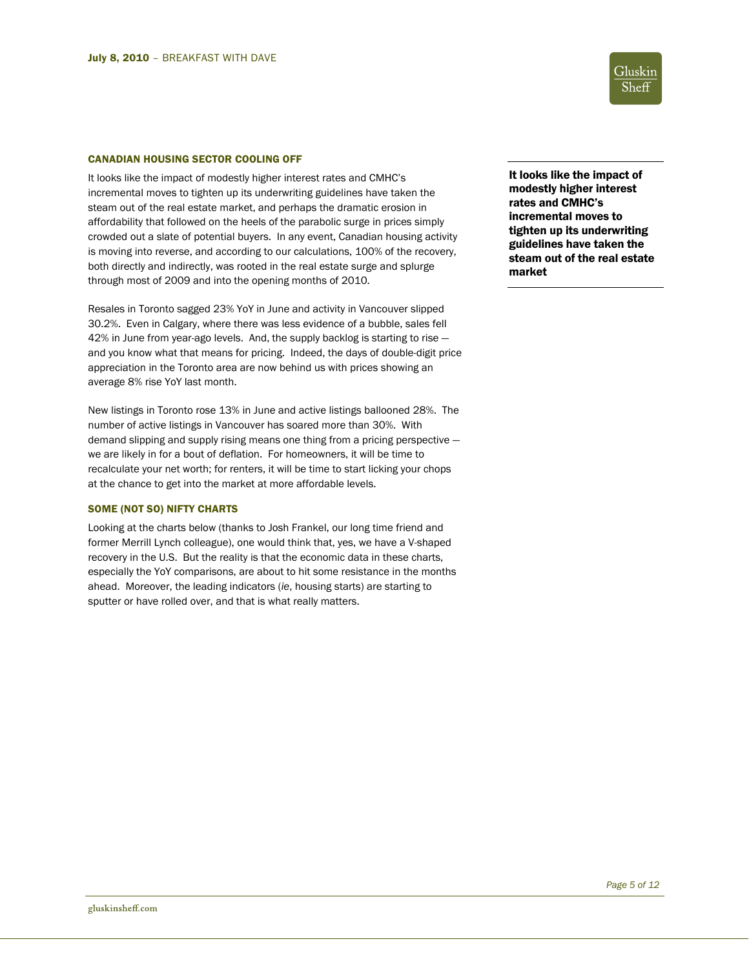#### CANADIAN HOUSING SECTOR COOLING OFF

It looks like the impact of modestly higher interest rates and CMHC's incremental moves to tighten up its underwriting guidelines have taken the steam out of the real estate market, and perhaps the dramatic erosion in affordability that followed on the heels of the parabolic surge in prices simply crowded out a slate of potential buyers. In any event, Canadian housing activity is moving into reverse, and according to our calculations, 100% of the recovery, both directly and indirectly, was rooted in the real estate surge and splurge through most of 2009 and into the opening months of 2010.

Resales in Toronto sagged 23% YoY in June and activity in Vancouver slipped 30.2%. Even in Calgary, where there was less evidence of a bubble, sales fell 42% in June from year-ago levels. And, the supply backlog is starting to rise and you know what that means for pricing. Indeed, the days of double-digit price appreciation in the Toronto area are now behind us with prices showing an average 8% rise YoY last month.

New listings in Toronto rose 13% in June and active listings ballooned 28%. The number of active listings in Vancouver has soared more than 30%. With demand slipping and supply rising means one thing from a pricing perspective we are likely in for a bout of deflation. For homeowners, it will be time to recalculate your net worth; for renters, it will be time to start licking your chops at the chance to get into the market at more affordable levels.

# SOME (NOT SO) NIFTY CHARTS

Looking at the charts below (thanks to Josh Frankel, our long time friend and former Merrill Lynch colleague), one would think that, yes, we have a V-shaped recovery in the U.S. But the reality is that the economic data in these charts, especially the YoY comparisons, are about to hit some resistance in the months ahead. Moreover, the leading indicators (*ie*, housing starts) are starting to sputter or have rolled over, and that is what really matters.

It looks like the impact of modestly higher interest rates and CMHC's incremental moves to tighten up its underwriting guidelines have taken the steam out of the real estate market

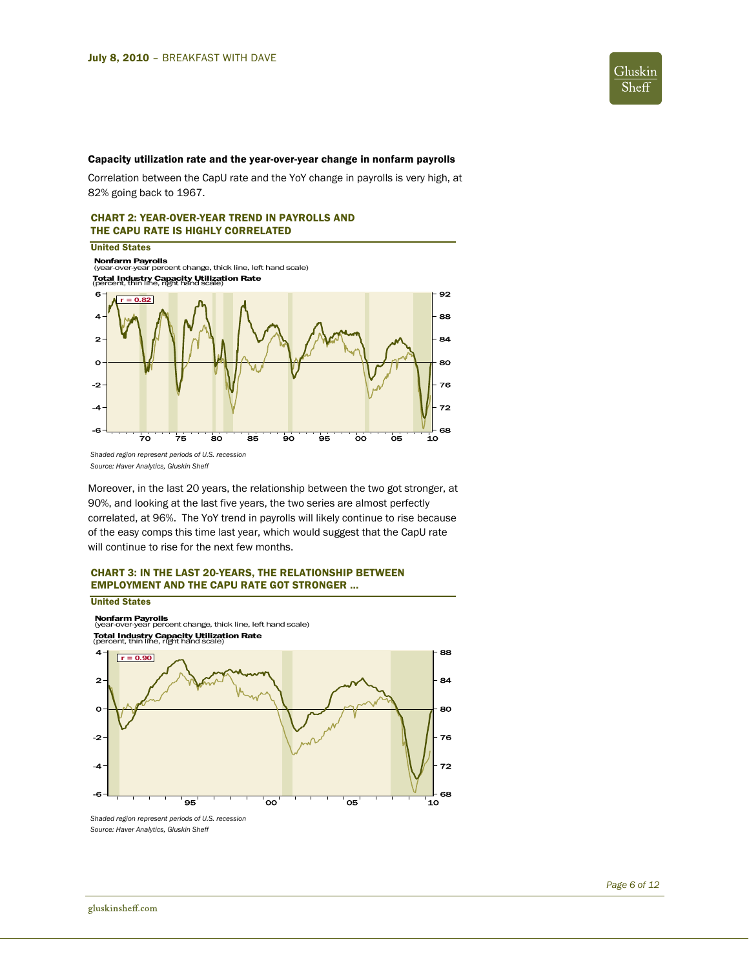

# Capacity utilization rate and the year-over-year change in nonfarm payrolls

Correlation between the CapU rate and the YoY change in payrolls is very high, at 82% going back to 1967.

# CHART 2: YEAR-OVER-YEAR TREND IN PAYROLLS AND THE CAPU RATE IS HIGHLY CORRELATED



*Source: Haver Analytics, Gluskin Sheff* 

Moreover, in the last 20 years, the relationship between the two got stronger, at 90%, and looking at the last five years, the two series are almost perfectly correlated, at 96%. The YoY trend in payrolls will likely continue to rise because of the easy comps this time last year, which would suggest that the CapU rate will continue to rise for the next few months.

# CHART 3: IN THE LAST 20-YEARS, THE RELATIONSHIP BETWEEN EMPLOYMENT AND THE CAPU RATE GOT STRONGER …

#### United States

**Nonfarm Payrolls**<br>(year-over-year percent change, thick line, left hand scale) Total Industry Capacity Utilization Rate (percent, thin line, right hand scale)



*Shaded region represent periods of U.S. recession Source: Haver Analytics, Gluskin Sheff*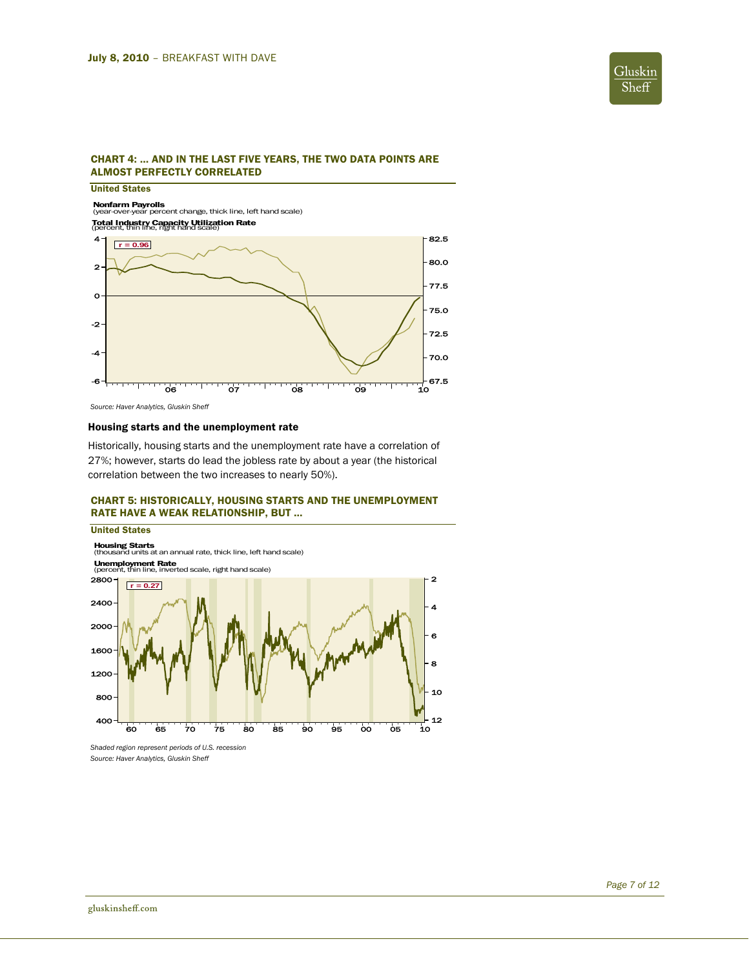

# CHART 4: … AND IN THE LAST FIVE YEARS, THE TWO DATA POINTS ARE ALMOST PERFECTLY CORRELATED

# United States

**Nonfarm Payrolls**<br>(year-over-year percent change, thick line, left hand scale) Total Industry Capacity Utilization Rate (percent, thin line, right hand scale)



*Source: Haver Analytics, Gluskin Sheff* 

# Housing starts and the unemployment rate

Historically, housing starts and the unemployment rate have a correlation of 27%; however, starts do lead the jobless rate by about a year (the historical correlation between the two increases to nearly 50%).

# CHART 5: HISTORICALLY, HOUSING STARTS AND THE UNEMPLOYMENT RATE HAVE A WEAK RELATIONSHIP, BUT …

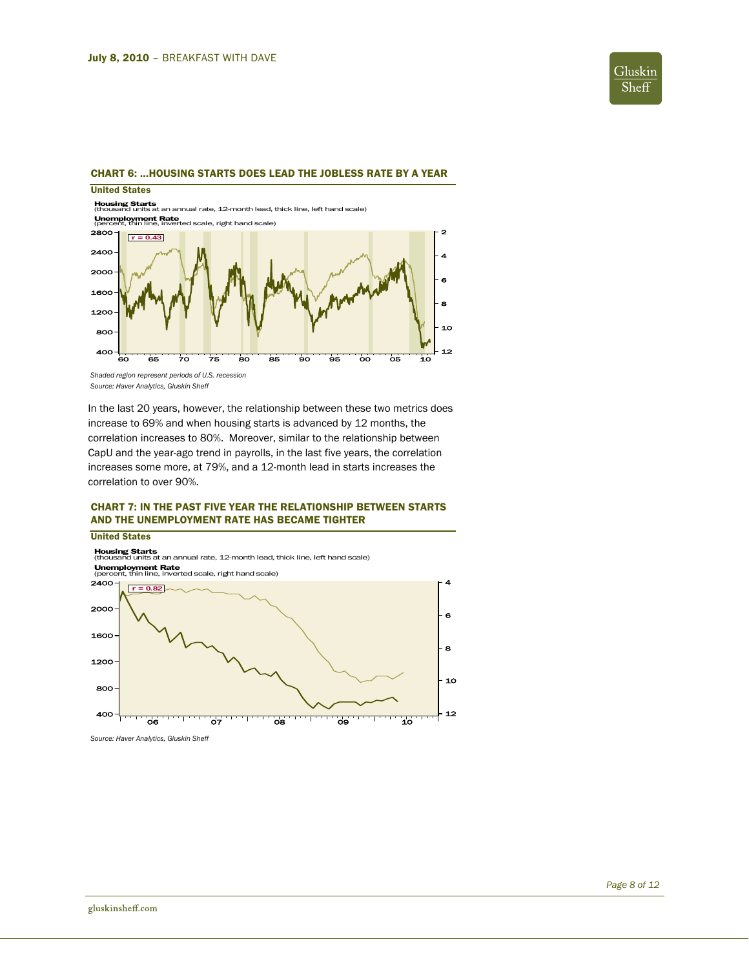

# CHART 6: …HOUSING STARTS DOES LEAD THE JOBLESS RATE BY A YEAR

# United States

**Housing Starts**<br>(thousand units at an annual rate, 12-month lead, thick line, left hand scale)



*Shaded region represent periods of U.S. recession Source: Haver Analytics, Gluskin Sheff* 

In the last 20 years, however, the relationship between these two metrics does increase to 69% and when housing starts is advanced by 12 months, the correlation increases to 80%. Moreover, similar to the relationship between CapU and the year-ago trend in payrolls, in the last five years, the correlation increases some more, at 79%, and a 12-month lead in starts increases the correlation to over 90%.

# CHART 7: IN THE PAST FIVE YEAR THE RELATIONSHIP BETWEEN STARTS AND THE UNEMPLOYMENT RATE HAS BECAME TIGHTER



*Source: Haver Analytics, Gluskin Sheff*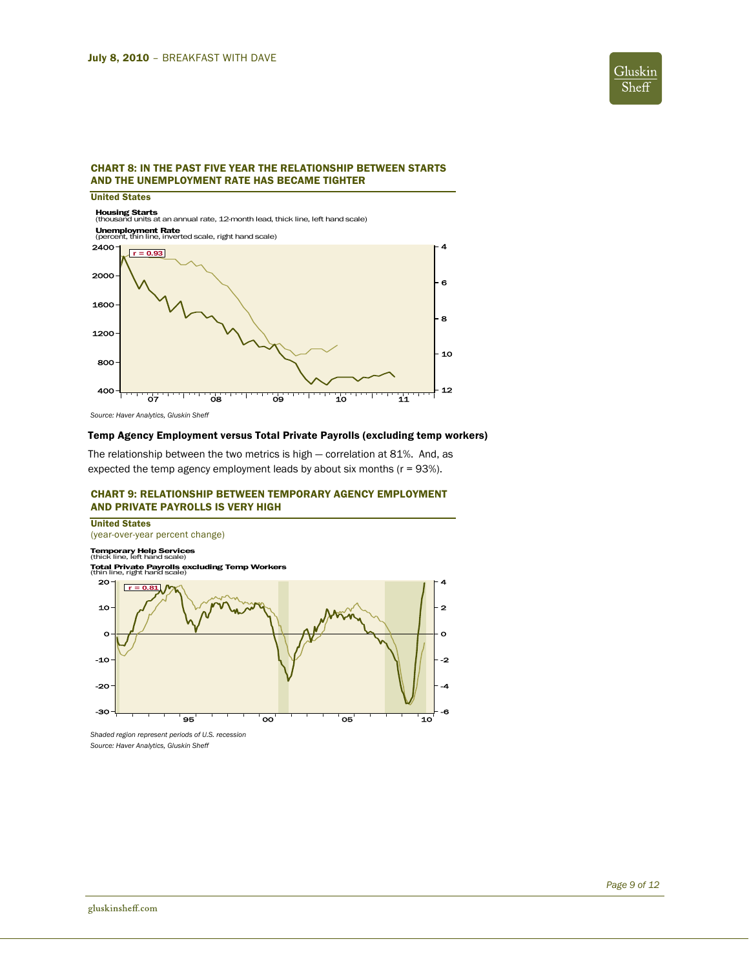

# CHART 8: IN THE PAST FIVE YEAR THE RELATIONSHIP BETWEEN STARTS AND THE UNEMPLOYMENT RATE HAS BECAME TIGHTER

United States

**Housing Starts**<br>(thousand units at an annual rate, 12-month lead, thick line, left hand scale)



*Source: Haver Analytics, Gluskin Sheff* 

# Temp Agency Employment versus Total Private Payrolls (excluding temp workers)

The relationship between the two metrics is high — correlation at 81%. And, as expected the temp agency employment leads by about six months (r = 93%).

# CHART 9: RELATIONSHIP BETWEEN TEMPORARY AGENCY EMPLOYMENT AND PRIVATE PAYROLLS IS VERY HIGH



*Shaded region represent periods of U.S. recession Source: Haver Analytics, Gluskin Sheff*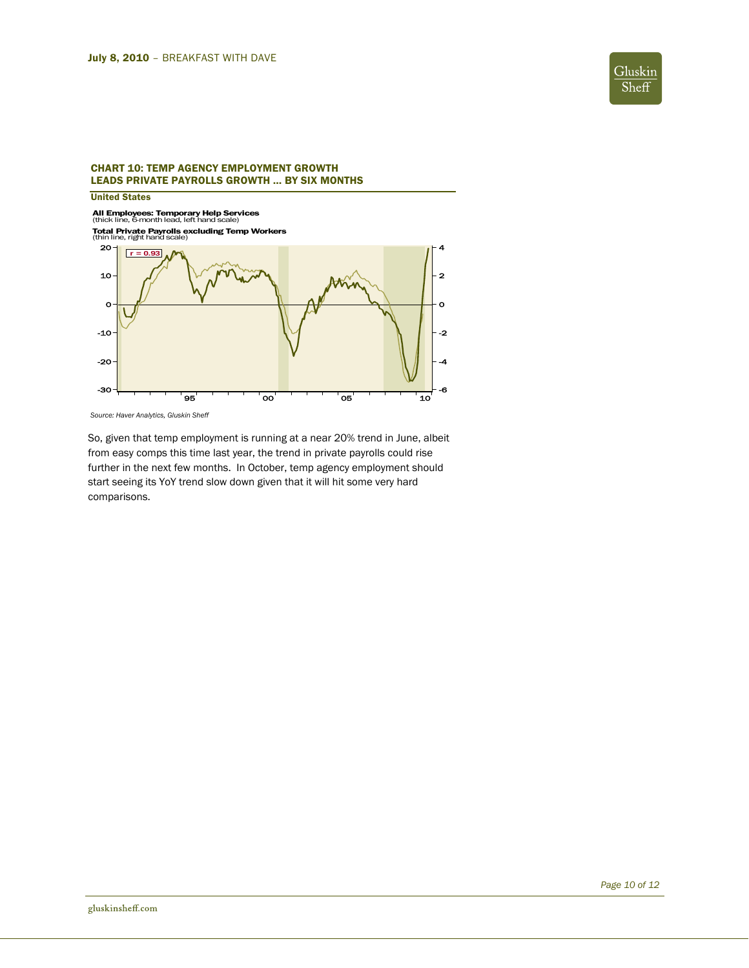

# CHART 10: TEMP AGENCY EMPLOYMENT GROWTH LEADS PRIVATE PAYROLLS GROWTH … BY SIX MONTHS

United States

**All Employees: Temporary Help Services**<br>(thick line, 6-month lead, left hand scale)

**Total Private Payrolls excluding Temp Workers<br>(thin line, right hand scale)** 



*Source: Haver Analytics, Gluskin Sheff* 

So, given that temp employment is running at a near 20% trend in June, albeit from easy comps this time last year, the trend in private payrolls could rise further in the next few months. In October, temp agency employment should start seeing its YoY trend slow down given that it will hit some very hard comparisons.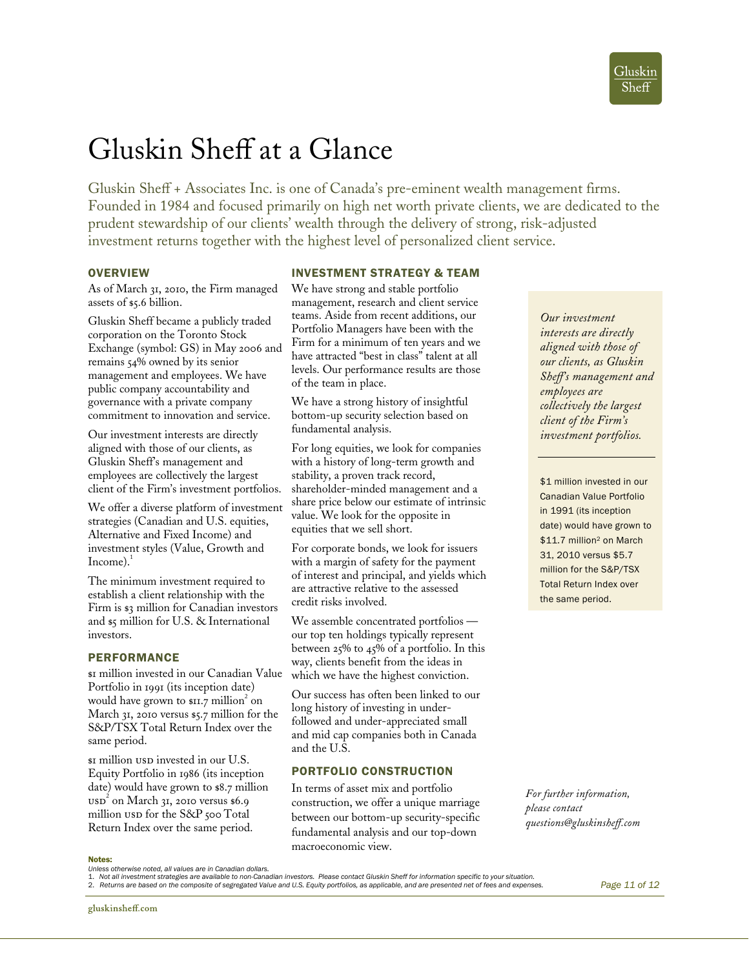# Gluskin Sheff at a Glance

Gluskin Sheff + Associates Inc. is one of Canada's pre-eminent wealth management firms. Founded in 1984 and focused primarily on high net worth private clients, we are dedicated to the prudent stewardship of our clients' wealth through the delivery of strong, risk-adjusted investment returns together with the highest level of personalized client service.

# **OVERVIEW**

As of March 31, 2010, the Firm managed assets of \$5.6 billion.

Gluskin Sheff became a publicly traded corporation on the Toronto Stock Exchange (symbol: GS) in May 2006 and remains 54% owned by its senior management and employees. We have public company accountability and governance with a private company commitment to innovation and service.

Our investment interests are directly aligned with those of our clients, as Gluskin Sheff's management and employees are collectively the largest client of the Firm's investment portfolios.

We offer a diverse platform of investment strategies (Canadian and U.S. equities, Alternative and Fixed Income) and investment styles (Value, Growth and  $Income$ .

The minimum investment required to establish a client relationship with the Firm is \$3 million for Canadian investors and \$5 million for U.S. & International investors.

# PERFORMANCE

\$1 million invested in our Canadian Value Portfolio in 1991 (its inception date) would have grown to \$11.7 million<sup>2</sup> on March 31, 2010 versus \$5.7 million for the S&P/TSX Total Return Index over the same period.

 $\text{sn}$  million usp invested in our U.S. Equity Portfolio in 1986 (its inception date) would have grown to \$8.7 million  $\text{usp}^2$  on March 31, 2010 versus \$6.9 million usp for the S&P 500 Total Return Index over the same period.

# INVESTMENT STRATEGY & TEAM

We have strong and stable portfolio management, research and client service teams. Aside from recent additions, our Portfolio Managers have been with the Firm for a minimum of ten years and we have attracted "best in class" talent at all levels. Our performance results are those of the team in place.

We have a strong history of insightful bottom-up security selection based on fundamental analysis.

For long equities, we look for companies with a history of long-term growth and stability, a proven track record, shareholder-minded management and a share price below our estimate of intrinsic value. We look for the opposite in equities that we sell short.

For corporate bonds, we look for issuers with a margin of safety for the payment of interest and principal, and yields which are attractive relative to the assessed credit risks involved.

We assemble concentrated portfolios our top ten holdings typically represent between 25% to 45% of a portfolio. In this way, clients benefit from the ideas in which we have the highest conviction.

Our success has often been linked to our long history of investing in underfollowed and under-appreciated small and mid cap companies both in Canada and the U.S.

# PORTFOLIO CONSTRUCTION

In terms of asset mix and portfolio construction, we offer a unique marriage between our bottom-up security-specific fundamental analysis and our top-down macroeconomic view.

*Our investment interests are directly aligned with those of our clients, as Gluskin Sheff's management and employees are collectively the largest client of the Firm's investment portfolios.* 

\$1 million invested in our Canadian Value Portfolio in 1991 (its inception date) would have grown to \$11.7 million<sup>2</sup> on March 31, 2010 versus \$5.7 million for the S&P/TSX Total Return Index over the same period.

*For further information, please contact questions@gluskinsheff.com* 

#### Notes:

*Unless otherwise noted, all values are in Canadian dollars.* 

 1. *Not all investment strategies are available to non-Canadian investors. Please contact Gluskin Sheff for information specific to your situation.*  2. *Returns are based on the composite of segregated Value and U.S. Equity portfolios, as applicable, and are presented net of fees and expenses.* 

*Page 11 of 12*